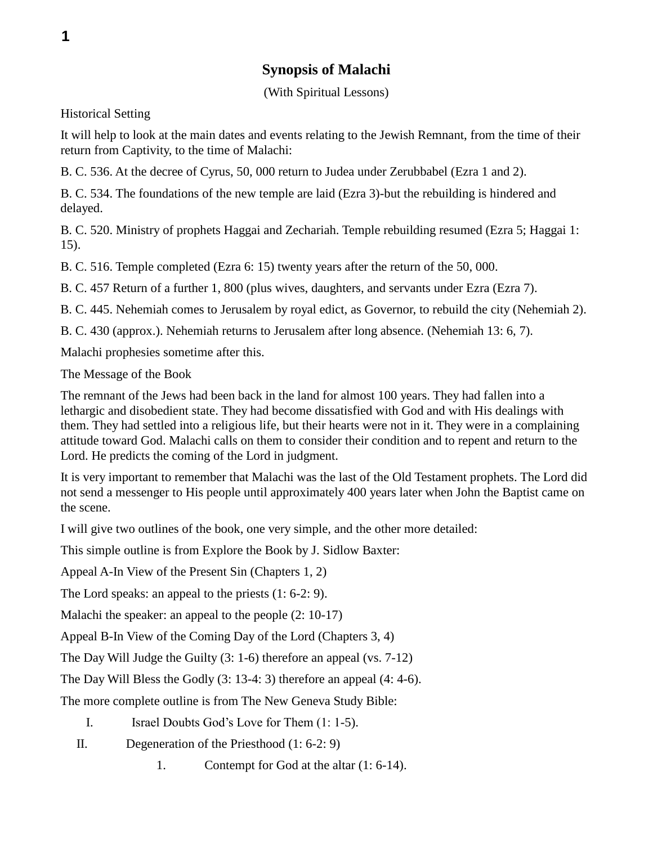## **Synopsis of Malachi**

(With Spiritual Lessons)

Historical Setting

It will help to look at the main dates and events relating to the Jewish Remnant, from the time of their return from Captivity, to the time of Malachi:

B. C. 536. At the decree of Cyrus, 50, 000 return to Judea under Zerubbabel (Ezra 1 and 2).

B. C. 534. The foundations of the new temple are laid (Ezra 3)-but the rebuilding is hindered and delayed.

B. C. 520. Ministry of prophets Haggai and Zechariah. Temple rebuilding resumed (Ezra 5; Haggai 1: 15).

B. C. 516. Temple completed (Ezra 6: 15) twenty years after the return of the 50, 000.

B. C. 457 Return of a further 1, 800 (plus wives, daughters, and servants under Ezra (Ezra 7).

B. C. 445. Nehemiah comes to Jerusalem by royal edict, as Governor, to rebuild the city (Nehemiah 2).

B. C. 430 (approx.). Nehemiah returns to Jerusalem after long absence. (Nehemiah 13: 6, 7).

Malachi prophesies sometime after this.

The Message of the Book

The remnant of the Jews had been back in the land for almost 100 years. They had fallen into a lethargic and disobedient state. They had become dissatisfied with God and with His dealings with them. They had settled into a religious life, but their hearts were not in it. They were in a complaining attitude toward God. Malachi calls on them to consider their condition and to repent and return to the Lord. He predicts the coming of the Lord in judgment.

It is very important to remember that Malachi was the last of the Old Testament prophets. The Lord did not send a messenger to His people until approximately 400 years later when John the Baptist came on the scene.

I will give two outlines of the book, one very simple, and the other more detailed:

This simple outline is from Explore the Book by J. Sidlow Baxter:

Appeal A-In View of the Present Sin (Chapters 1, 2)

The Lord speaks: an appeal to the priests (1: 6-2: 9).

Malachi the speaker: an appeal to the people (2: 10-17)

Appeal B-In View of the Coming Day of the Lord (Chapters 3, 4)

The Day Will Judge the Guilty (3: 1-6) therefore an appeal (vs. 7-12)

The Day Will Bless the Godly (3: 13-4: 3) therefore an appeal (4: 4-6).

The more complete outline is from The New Geneva Study Bible:

I. Israel Doubts God's Love for Them (1: 1-5).

- II. Degeneration of the Priesthood (1: 6-2: 9)
	- 1. Contempt for God at the altar (1: 6-14).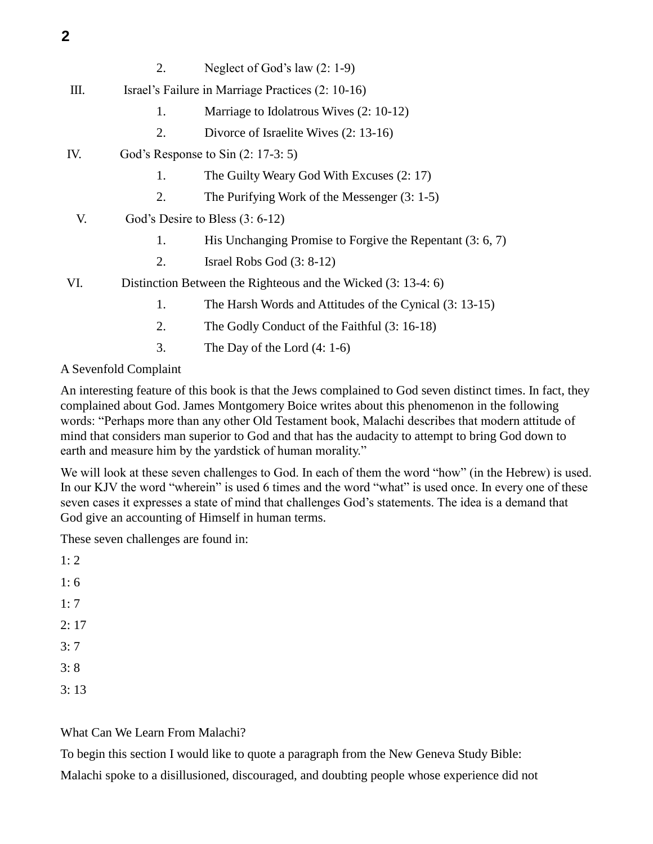- 2. Neglect of God's law (2: 1-9)
- III. Israel's Failure in Marriage Practices (2: 10-16)
	- 1. Marriage to Idolatrous Wives (2: 10-12)
	- 2. Divorce of Israelite Wives (2: 13-16)
- IV. God's Response to Sin (2: 17-3: 5)
	- 1. The Guilty Weary God With Excuses (2: 17)
	- 2. The Purifying Work of the Messenger (3: 1-5)
- V. God's Desire to Bless (3: 6-12)
	- 1. His Unchanging Promise to Forgive the Repentant (3: 6, 7)
	- 2. Israel Robs God (3: 8-12)
- VI. Distinction Between the Righteous and the Wicked (3: 13-4: 6)
	- 1. The Harsh Words and Attitudes of the Cynical (3: 13-15)
	- 2. The Godly Conduct of the Faithful (3: 16-18)
	- 3. The Day of the Lord (4: 1-6)

## A Sevenfold Complaint

An interesting feature of this book is that the Jews complained to God seven distinct times. In fact, they complained about God. James Montgomery Boice writes about this phenomenon in the following words: "Perhaps more than any other Old Testament book, Malachi describes that modern attitude of mind that considers man superior to God and that has the audacity to attempt to bring God down to earth and measure him by the yardstick of human morality."

We will look at these seven challenges to God. In each of them the word "how" (in the Hebrew) is used. In our KJV the word "wherein" is used 6 times and the word "what" is used once. In every one of these seven cases it expresses a state of mind that challenges God's statements. The idea is a demand that God give an accounting of Himself in human terms.

These seven challenges are found in:

 $1: 2$ 1: 6 1: 7  $2:17$ 3: 7 3: 8 3: 13

What Can We Learn From Malachi?

To begin this section I would like to quote a paragraph from the New Geneva Study Bible:

Malachi spoke to a disillusioned, discouraged, and doubting people whose experience did not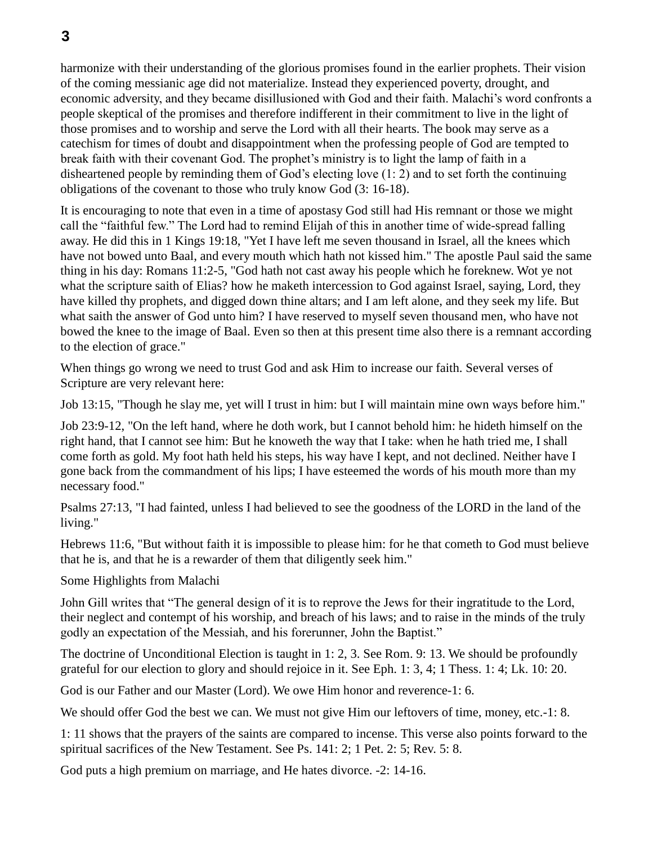harmonize with their understanding of the glorious promises found in the earlier prophets. Their vision of the coming messianic age did not materialize. Instead they experienced poverty, drought, and economic adversity, and they became disillusioned with God and their faith. Malachi's word confronts a people skeptical of the promises and therefore indifferent in their commitment to live in the light of those promises and to worship and serve the Lord with all their hearts. The book may serve as a catechism for times of doubt and disappointment when the professing people of God are tempted to break faith with their covenant God. The prophet's ministry is to light the lamp of faith in a disheartened people by reminding them of God's electing love (1: 2) and to set forth the continuing obligations of the covenant to those who truly know God (3: 16-18).

It is encouraging to note that even in a time of apostasy God still had His remnant or those we might call the "faithful few." The Lord had to remind Elijah of this in another time of wide-spread falling away. He did this in 1 Kings 19:18, "Yet I have left me seven thousand in Israel, all the knees which have not bowed unto Baal, and every mouth which hath not kissed him." The apostle Paul said the same thing in his day: Romans 11:2-5, "God hath not cast away his people which he foreknew. Wot ye not what the scripture saith of Elias? how he maketh intercession to God against Israel, saying, Lord, they have killed thy prophets, and digged down thine altars; and I am left alone, and they seek my life. But what saith the answer of God unto him? I have reserved to myself seven thousand men, who have not bowed the knee to the image of Baal. Even so then at this present time also there is a remnant according to the election of grace."

When things go wrong we need to trust God and ask Him to increase our faith. Several verses of Scripture are very relevant here:

Job 13:15, "Though he slay me, yet will I trust in him: but I will maintain mine own ways before him."

Job 23:9-12, "On the left hand, where he doth work, but I cannot behold him: he hideth himself on the right hand, that I cannot see him: But he knoweth the way that I take: when he hath tried me, I shall come forth as gold. My foot hath held his steps, his way have I kept, and not declined. Neither have I gone back from the commandment of his lips; I have esteemed the words of his mouth more than my necessary food."

Psalms 27:13, "I had fainted, unless I had believed to see the goodness of the LORD in the land of the living."

Hebrews 11:6, "But without faith it is impossible to please him: for he that cometh to God must believe that he is, and that he is a rewarder of them that diligently seek him."

Some Highlights from Malachi

John Gill writes that "The general design of it is to reprove the Jews for their ingratitude to the Lord, their neglect and contempt of his worship, and breach of his laws; and to raise in the minds of the truly godly an expectation of the Messiah, and his forerunner, John the Baptist."

The doctrine of Unconditional Election is taught in 1: 2, 3. See Rom. 9: 13. We should be profoundly grateful for our election to glory and should rejoice in it. See Eph. 1: 3, 4; 1 Thess. 1: 4; Lk. 10: 20.

God is our Father and our Master (Lord). We owe Him honor and reverence-1: 6.

We should offer God the best we can. We must not give Him our leftovers of time, money, etc.-1: 8.

1: 11 shows that the prayers of the saints are compared to incense. This verse also points forward to the spiritual sacrifices of the New Testament. See Ps. 141: 2; 1 Pet. 2: 5; Rev. 5: 8.

God puts a high premium on marriage, and He hates divorce. -2: 14-16.